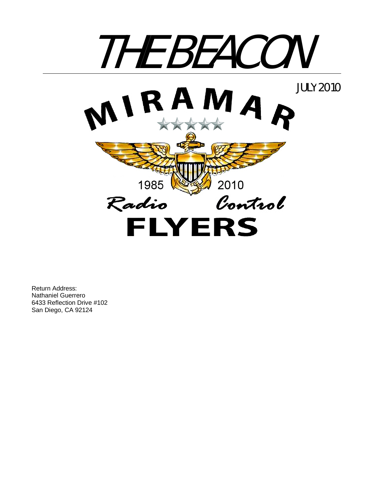

Return Address: Nathaniel Guerrero 6433 Reflection Drive #102 San Diego, CA 92124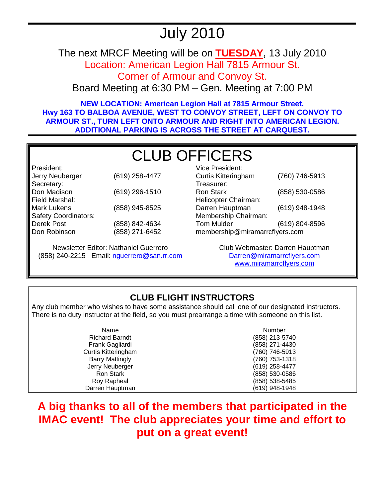## July 2010

The next MRCF Meeting will be on **TUESDAY**, 13 July 2010

Location: American Legion Hall 7815 Armour St.

Corner of Armour and Convoy St.

Board Meeting at 6:30 PM – Gen. Meeting at 7:00 PM

**NEW LOCATION: American Legion Hall at 7815 Armour Street. Hwy 163 TO BALBOA AVENUE, WEST TO CONVOY STREET, LEFT ON CONVOY TO ARMOUR ST., TURN LEFT ONTO ARMOUR AND RIGHT INTO AMERICAN LEGION. ADDITIONAL PARKING IS ACROSS THE STREET AT CARQUEST.** 

# CLUB OFFICERS

President: Jerry Neuberger (619) 258-4477 Secretary: Don Madison (619) 296-1510 Field Marshal: Mark Lukens (858) 945-8525 Safety Coordinators: Derek Post Don Robinson (858) 842-4634 (858) 271-6452

Newsletter Editor: Nathaniel Guerrero (858) 240-2215 Email: nguerrero@san.rr.com

| <b>Vice President:</b>         |                |  |
|--------------------------------|----------------|--|
| <b>Curtis Kitteringham</b>     | (760) 746-5913 |  |
| Treasurer:                     |                |  |
| <b>Ron Stark</b>               | (858) 530-0586 |  |
| Helicopter Chairman:           |                |  |
| Darren Hauptman                | (619) 948-1948 |  |
| Membership Chairman:           |                |  |
| <b>Tom Mulder</b>              | (619) 804-8596 |  |
| membership@miramarrcflyers.com |                |  |

Club Webmaster: Darren Hauptman Darren@miramarrcflyers.com www.miramarrcflyers.com

## **CLUB FLIGHT INSTRUCTORS**

Any club member who wishes to have some assistance should call one of our designated instructors. There is no duty instructor at the field, so you must prearrange a time with someone on this list.

| Name                   | Number         |
|------------------------|----------------|
| <b>Richard Barndt</b>  | (858) 213-5740 |
| Frank Gagliardi        | (858) 271-4430 |
| Curtis Kitteringham    | (760) 746-5913 |
| <b>Barry Mattingly</b> | (760) 753-1318 |
| Jerry Neuberger        | (619) 258-4477 |
| <b>Ron Stark</b>       | (858) 530-0586 |
| Roy Rapheal            | (858) 538-5485 |
| Darren Hauptman        | (619) 948-1948 |

**A big thanks to all of the members that participated in the IMAC event! The club appreciates your time and effort to put on a great event!**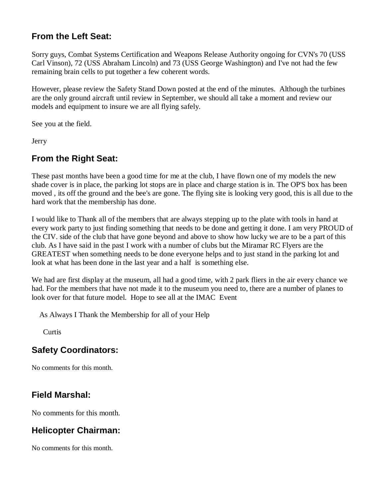## **From the Left Seat:**

Sorry guys, Combat Systems Certification and Weapons Release Authority ongoing for CVN's 70 (USS Carl Vinson), 72 (USS Abraham Lincoln) and 73 (USS George Washington) and I've not had the few remaining brain cells to put together a few coherent words.

However, please review the Safety Stand Down posted at the end of the minutes. Although the turbines are the only ground aircraft until review in September, we should all take a moment and review our models and equipment to insure we are all flying safely.

See you at the field.

**Jerry** 

## **From the Right Seat:**

These past months have been a good time for me at the club, I have flown one of my models the new shade cover is in place, the parking lot stops are in place and charge station is in. The OP'S box has been moved , its off the ground and the bee's are gone. The flying site is looking very good, this is all due to the hard work that the membership has done.

I would like to Thank all of the members that are always stepping up to the plate with tools in hand at every work party to just finding something that needs to be done and getting it done. I am very PROUD of the CIV. side of the club that have gone beyond and above to show how lucky we are to be a part of this club. As I have said in the past I work with a number of clubs but the Miramar RC Flyers are the GREATEST when something needs to be done everyone helps and to just stand in the parking lot and look at what has been done in the last year and a half is something else.

We had are first display at the museum, all had a good time, with 2 park fliers in the air every chance we had. For the members that have not made it to the museum you need to, there are a number of planes to look over for that future model. Hope to see all at the IMAC Event

As Always I Thank the Membership for all of your Help

**Curtis** 

## **Safety Coordinators:**

No comments for this month.

## **Field Marshal:**

No comments for this month.

## **Helicopter Chairman:**

No comments for this month.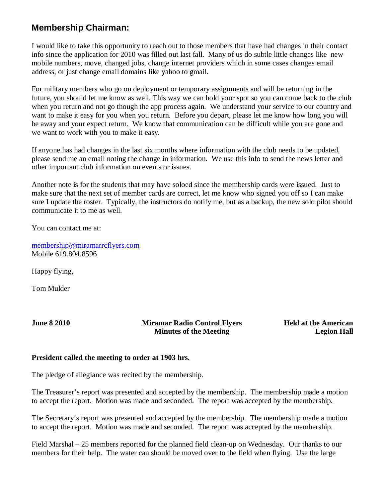## **Membership Chairman:**

I would like to take this opportunity to reach out to those members that have had changes in their contact info since the application for 2010 was filled out last fall. Many of us do subtle little changes like new mobile numbers, move, changed jobs, change internet providers which in some cases changes email address, or just change email domains like yahoo to gmail.

For military members who go on deployment or temporary assignments and will be returning in the future, you should let me know as well. This way we can hold your spot so you can come back to the club when you return and not go though the app process again. We understand your service to our country and want to make it easy for you when you return. Before you depart, please let me know how long you will be away and your expect return. We know that communication can be difficult while you are gone and we want to work with you to make it easy.

If anyone has had changes in the last six months where information with the club needs to be updated, please send me an email noting the change in information. We use this info to send the news letter and other important club information on events or issues.

Another note is for the students that may have soloed since the membership cards were issued. Just to make sure that the next set of member cards are correct, let me know who signed you off so I can make sure I update the roster. Typically, the instructors do notify me, but as a backup, the new solo pilot should communicate it to me as well.

You can contact me at:

membership@miramarrcflyers.com Mobile 619.804.8596

Happy flying,

Tom Mulder

**June 8 2010 Miramar Radio Control Flyers Minutes of the Meeting** 

**Held at the American Legion Hall**

#### **President called the meeting to order at 1903 hrs.**

The pledge of allegiance was recited by the membership.

The Treasurer's report was presented and accepted by the membership. The membership made a motion to accept the report. Motion was made and seconded. The report was accepted by the membership.

The Secretary's report was presented and accepted by the membership. The membership made a motion to accept the report. Motion was made and seconded. The report was accepted by the membership.

Field Marshal – 25 members reported for the planned field clean-up on Wednesday. Our thanks to our members for their help. The water can should be moved over to the field when flying. Use the large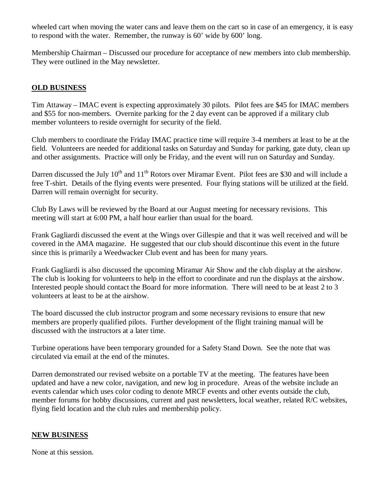wheeled cart when moving the water cans and leave them on the cart so in case of an emergency, it is easy to respond with the water. Remember, the runway is 60' wide by 600' long.

Membership Chairman – Discussed our procedure for acceptance of new members into club membership. They were outlined in the May newsletter.

#### **OLD BUSINESS**

Tim Attaway – IMAC event is expecting approximately 30 pilots. Pilot fees are \$45 for IMAC members and \$55 for non-members. Overnite parking for the 2 day event can be approved if a military club member volunteers to reside overnight for security of the field.

Club members to coordinate the Friday IMAC practice time will require 3-4 members at least to be at the field. Volunteers are needed for additional tasks on Saturday and Sunday for parking, gate duty, clean up and other assignments. Practice will only be Friday, and the event will run on Saturday and Sunday.

Darren discussed the July 10<sup>th</sup> and 11<sup>th</sup> Rotors over Miramar Event. Pilot fees are \$30 and will include a free T-shirt. Details of the flying events were presented. Four flying stations will be utilized at the field. Darren will remain overnight for security.

Club By Laws will be reviewed by the Board at our August meeting for necessary revisions. This meeting will start at 6:00 PM, a half hour earlier than usual for the board.

Frank Gagliardi discussed the event at the Wings over Gillespie and that it was well received and will be covered in the AMA magazine. He suggested that our club should discontinue this event in the future since this is primarily a Weedwacker Club event and has been for many years.

Frank Gagliardi is also discussed the upcoming Miramar Air Show and the club display at the airshow. The club is looking for volunteers to help in the effort to coordinate and run the displays at the airshow. Interested people should contact the Board for more information. There will need to be at least 2 to 3 volunteers at least to be at the airshow.

The board discussed the club instructor program and some necessary revisions to ensure that new members are properly qualified pilots. Further development of the flight training manual will be discussed with the instructors at a later time.

Turbine operations have been temporary grounded for a Safety Stand Down. See the note that was circulated via email at the end of the minutes.

Darren demonstrated our revised website on a portable TV at the meeting. The features have been updated and have a new color, navigation, and new log in procedure. Areas of the website include an events calendar which uses color coding to denote MRCF events and other events outside the club, member forums for hobby discussions, current and past newsletters, local weather, related R/C websites, flying field location and the club rules and membership policy.

#### **NEW BUSINESS**

None at this session.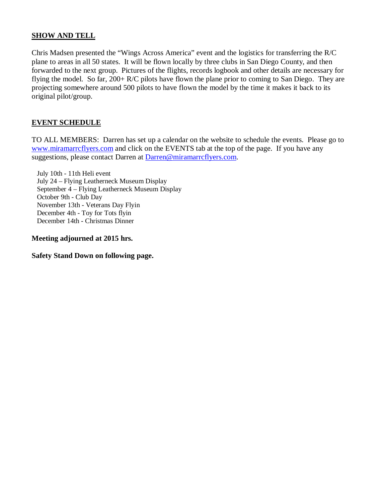#### **SHOW AND TELL**

Chris Madsen presented the "Wings Across America" event and the logistics for transferring the R/C plane to areas in all 50 states. It will be flown locally by three clubs in San Diego County, and then forwarded to the next group. Pictures of the flights, records logbook and other details are necessary for flying the model. So far, 200+ R/C pilots have flown the plane prior to coming to San Diego. They are projecting somewhere around 500 pilots to have flown the model by the time it makes it back to its original pilot/group.

#### **EVENT SCHEDULE**

TO ALL MEMBERS: Darren has set up a calendar on the website to schedule the events. Please go to www.miramarrcflyers.com and click on the EVENTS tab at the top of the page. If you have any suggestions, please contact Darren at Darren@miramarrcflyers.com.

 July 10th - 11th Heli event July 24 – Flying Leatherneck Museum Display September 4 – Flying Leatherneck Museum Display October 9th - Club Day November 13th - Veterans Day Flyin December 4th - Toy for Tots flyin December 14th - Christmas Dinner

**Meeting adjourned at 2015 hrs.** 

**Safety Stand Down on following page.**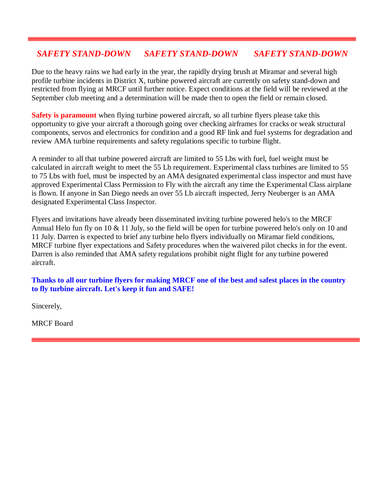### *SAFETY STAND-DOWN SAFETY STAND-DOWN SAFETY STAND-DOWN*

Due to the heavy rains we had early in the year, the rapidly drying brush at Miramar and several high profile turbine incidents in District X, turbine powered aircraft are currently on safety stand-down and restricted from flying at MRCF until further notice. Expect conditions at the field will be reviewed at the September club meeting and a determination will be made then to open the field or remain closed.

**Safety is paramount** when flying turbine powered aircraft, so all turbine flyers please take this opportunity to give your aircraft a thorough going over checking airframes for cracks or weak structural components, servos and electronics for condition and a good RF link and fuel systems for degradation and review AMA turbine requirements and safety regulations specific to turbine flight.

A reminder to all that turbine powered aircraft are limited to 55 Lbs with fuel, fuel weight must be calculated in aircraft weight to meet the 55 Lb requirement. Experimental class turbines are limited to 55 to 75 Lbs with fuel, must be inspected by an AMA designated experimental class inspector and must have approved Experimental Class Permission to Fly with the aircraft any time the Experimental Class airplane is flown. If anyone in San Diego needs an over 55 Lb aircraft inspected, Jerry Neuberger is an AMA designated Experimental Class Inspector.

Flyers and invitations have already been disseminated inviting turbine powered helo's to the MRCF Annual Helo fun fly on 10 & 11 July, so the field will be open for turbine powered helo's only on 10 and 11 July. Darren is expected to brief any turbine helo flyers individually on Miramar field conditions, MRCF turbine flyer expectations and Safety procedures when the waivered pilot checks in for the event. Darren is also reminded that AMA safety regulations prohibit night flight for any turbine powered aircraft.

#### **Thanks to all our turbine flyers for making MRCF one of the best and safest places in the country to fly turbine aircraft. Let's keep it fun and SAFE!**

Sincerely,

MRCF Board